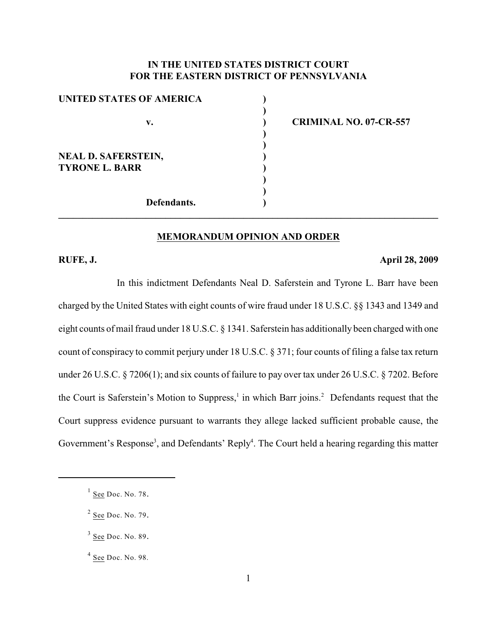# **IN THE UNITED STATES DISTRICT COURT FOR THE EASTERN DISTRICT OF PENNSYLVANIA**

**)**

**) )**

**) )**

| UNITED STATES OF AMERICA   |  |
|----------------------------|--|
|                            |  |
| v.                         |  |
|                            |  |
|                            |  |
| <b>NEAL D. SAFERSTEIN,</b> |  |
| <b>TYRONE L. BARR</b>      |  |
|                            |  |
|                            |  |
| Defendants.                |  |

**v. ) CRIMINAL NO. 07-CR-557**

#### **MEMORANDUM OPINION AND ORDER**

**\_\_\_\_\_\_\_\_\_\_\_\_\_\_\_\_\_\_\_\_\_\_\_\_\_\_\_\_\_\_\_\_\_\_\_\_\_\_\_\_\_\_\_\_\_\_\_\_\_\_\_\_\_\_\_\_\_\_\_\_\_\_\_\_\_\_\_\_\_\_\_\_\_\_\_\_\_\_**

#### **RUFE, J. April 28, 2009**

In this indictment Defendants Neal D. Saferstein and Tyrone L. Barr have been charged by the United States with eight counts of wire fraud under 18 U.S.C. §§ 1343 and 1349 and eight counts of mail fraud under 18 U.S.C. § 1341. Saferstein has additionally been charged with one count of conspiracy to commit perjury under 18 U.S.C. § 371; four counts of filing a false tax return under 26 U.S.C. § 7206(1); and six counts of failure to pay over tax under 26 U.S.C. § 7202. Before the Court is Saferstein's Motion to Suppress,<sup>1</sup> in which Barr joins.<sup>2</sup> Defendants request that the Court suppress evidence pursuant to warrants they allege lacked sufficient probable cause, the Government's Response<sup>3</sup>, and Defendants' Reply<sup>4</sup>. The Court held a hearing regarding this matter

 $\frac{1}{1}$  See Doc. No. 78.

 $2$  See Doc. No. 79.

 $3$  See Doc. No. 89.

 $<sup>4</sup>$  See Doc. No. 98.</sup>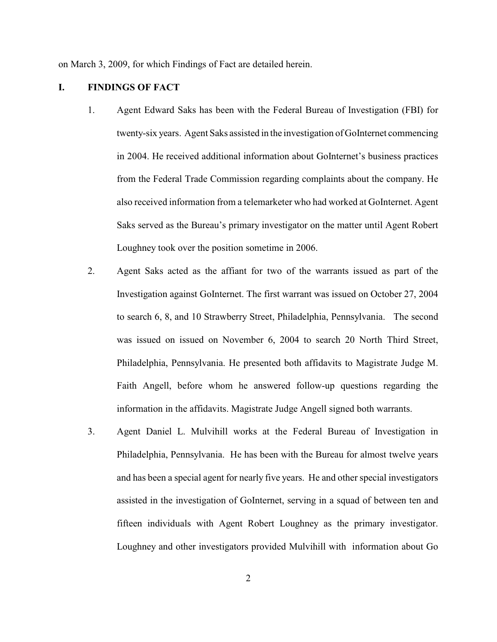on March 3, 2009, for which Findings of Fact are detailed herein.

### **I. FINDINGS OF FACT**

- 1. Agent Edward Saks has been with the Federal Bureau of Investigation (FBI) for twenty-six years. Agent Saks assisted in the investigation of GoInternet commencing in 2004. He received additional information about GoInternet's business practices from the Federal Trade Commission regarding complaints about the company. He also received information from a telemarketer who had worked at GoInternet. Agent Saks served as the Bureau's primary investigator on the matter until Agent Robert Loughney took over the position sometime in 2006.
- 2. Agent Saks acted as the affiant for two of the warrants issued as part of the Investigation against GoInternet. The first warrant was issued on October 27, 2004 to search 6, 8, and 10 Strawberry Street, Philadelphia, Pennsylvania. The second was issued on issued on November 6, 2004 to search 20 North Third Street, Philadelphia, Pennsylvania. He presented both affidavits to Magistrate Judge M. Faith Angell, before whom he answered follow-up questions regarding the information in the affidavits. Magistrate Judge Angell signed both warrants.
- 3. Agent Daniel L. Mulvihill works at the Federal Bureau of Investigation in Philadelphia, Pennsylvania. He has been with the Bureau for almost twelve years and has been a special agent for nearly five years. He and other special investigators assisted in the investigation of GoInternet, serving in a squad of between ten and fifteen individuals with Agent Robert Loughney as the primary investigator. Loughney and other investigators provided Mulvihill with information about Go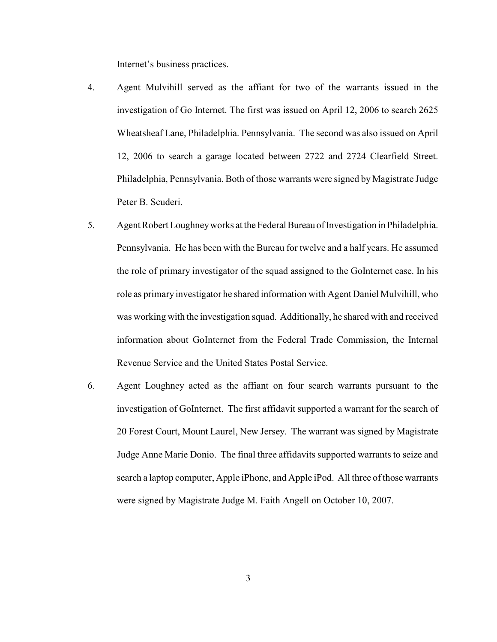Internet's business practices.

- 4. Agent Mulvihill served as the affiant for two of the warrants issued in the investigation of Go Internet. The first was issued on April 12, 2006 to search 2625 Wheatsheaf Lane, Philadelphia. Pennsylvania. The second was also issued on April 12, 2006 to search a garage located between 2722 and 2724 Clearfield Street. Philadelphia, Pennsylvania. Both of those warrants were signed by Magistrate Judge Peter B. Scuderi.
- 5. Agent Robert Loughney works at the Federal Bureau of Investigation in Philadelphia. Pennsylvania. He has been with the Bureau for twelve and a half years. He assumed the role of primary investigator of the squad assigned to the GoInternet case. In his role as primary investigator he shared information with Agent Daniel Mulvihill, who was working with the investigation squad. Additionally, he shared with and received information about GoInternet from the Federal Trade Commission, the Internal Revenue Service and the United States Postal Service.
- 6. Agent Loughney acted as the affiant on four search warrants pursuant to the investigation of GoInternet. The first affidavit supported a warrant for the search of 20 Forest Court, Mount Laurel, New Jersey. The warrant was signed by Magistrate Judge Anne Marie Donio. The final three affidavits supported warrants to seize and search a laptop computer, Apple iPhone, and Apple iPod. All three of those warrants were signed by Magistrate Judge M. Faith Angell on October 10, 2007.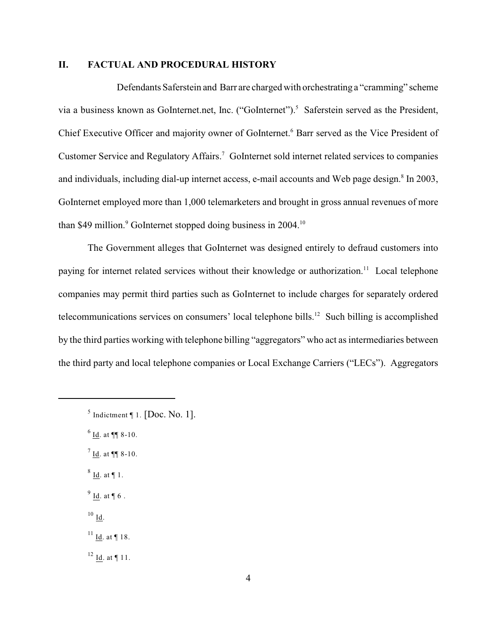### **II. FACTUAL AND PROCEDURAL HISTORY**

Defendants Saferstein and Barr are charged with orchestrating a "cramming" scheme via a business known as GoInternet.net, Inc. ("GoInternet").<sup>5</sup> Saferstein served as the President, Chief Executive Officer and majority owner of GoInternet.<sup>6</sup> Barr served as the Vice President of Customer Service and Regulatory Affairs.<sup>7</sup> GoInternet sold internet related services to companies and individuals, including dial-up internet access, e-mail accounts and Web page design.<sup>8</sup> In 2003, GoInternet employed more than 1,000 telemarketers and brought in gross annual revenues of more than \$49 million.<sup>9</sup> GoInternet stopped doing business in  $2004$ .<sup>10</sup>

The Government alleges that GoInternet was designed entirely to defraud customers into paying for internet related services without their knowledge or authorization.<sup>11</sup> Local telephone companies may permit third parties such as GoInternet to include charges for separately ordered telecommunications services on consumers' local telephone bills. $12$  Such billing is accomplished by the third parties working with telephone billing "aggregators" who act as intermediaries between the third party and local telephone companies or Local Exchange Carriers ("LECs"). Aggregators

 $6$  Id. at ¶¶ 8-10.

 $^{7}$  <u>Id</u>. at ¶¶ 8-10.

 $8$  Id. at  $\P$  1.

 $9$  Id. at ¶ 6.

 $^{10}$  Id.

 $11$  Id. at ¶ 18.

 $12$  Id. at ¶ 11.

 $<sup>5</sup>$  Indictment ¶ 1. [Doc. No. 1].</sup>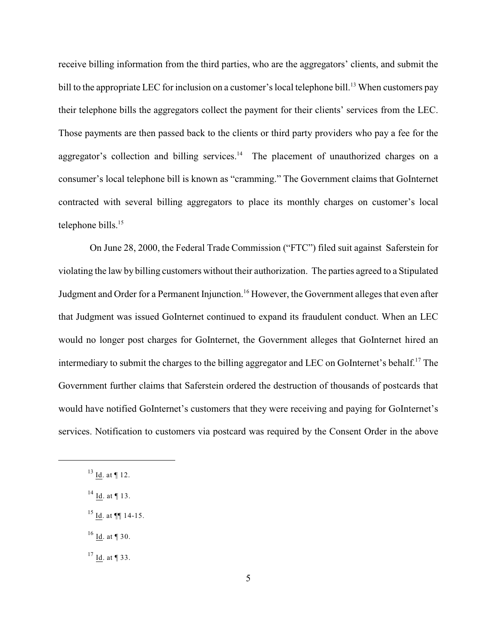receive billing information from the third parties, who are the aggregators' clients, and submit the bill to the appropriate LEC for inclusion on a customer's local telephone bill.<sup>13</sup> When customers pay their telephone bills the aggregators collect the payment for their clients' services from the LEC. Those payments are then passed back to the clients or third party providers who pay a fee for the aggregator's collection and billing services.<sup>14</sup> The placement of unauthorized charges on a consumer's local telephone bill is known as "cramming." The Government claims that GoInternet contracted with several billing aggregators to place its monthly charges on customer's local telephone bills.<sup>15</sup>

 On June 28, 2000, the Federal Trade Commission ("FTC") filed suit against Saferstein for violating the law by billing customers without their authorization. The parties agreed to a Stipulated Judgment and Order for a Permanent Injunction.<sup>16</sup> However, the Government alleges that even after that Judgment was issued GoInternet continued to expand its fraudulent conduct. When an LEC would no longer post charges for GoInternet, the Government alleges that GoInternet hired an intermediary to submit the charges to the billing aggregator and LEC on GoInternet's behalf.<sup>17</sup> The Government further claims that Saferstein ordered the destruction of thousands of postcards that would have notified GoInternet's customers that they were receiving and paying for GoInternet's services. Notification to customers via postcard was required by the Consent Order in the above

 $^{16}$  Id. at ¶ 30.

 $17$  Id. at ¶ 33.

 $^{13}$  Id. at ¶ 12.

 $^{14}$  Id. at ¶ 13.

 $^{15}$  Id. at ¶¶ 14-15.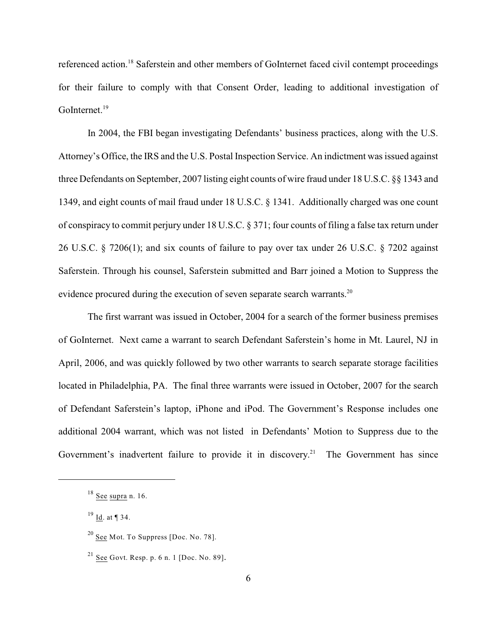referenced action.<sup>18</sup> Saferstein and other members of GoInternet faced civil contempt proceedings for their failure to comply with that Consent Order, leading to additional investigation of GoInternet.<sup>19</sup>

In 2004, the FBI began investigating Defendants' business practices, along with the U.S. Attorney's Office, the IRS and the U.S. Postal Inspection Service. An indictment was issued against three Defendants on September, 2007 listing eight counts of wire fraud under 18 U.S.C. §§ 1343 and 1349, and eight counts of mail fraud under 18 U.S.C. § 1341. Additionally charged was one count of conspiracy to commit perjury under 18 U.S.C. § 371; four counts of filing a false tax return under 26 U.S.C. § 7206(1); and six counts of failure to pay over tax under 26 U.S.C. § 7202 against Saferstein. Through his counsel, Saferstein submitted and Barr joined a Motion to Suppress the evidence procured during the execution of seven separate search warrants.<sup>20</sup>

The first warrant was issued in October, 2004 for a search of the former business premises of GoInternet. Next came a warrant to search Defendant Saferstein's home in Mt. Laurel, NJ in April, 2006, and was quickly followed by two other warrants to search separate storage facilities located in Philadelphia, PA. The final three warrants were issued in October, 2007 for the search of Defendant Saferstein's laptop, iPhone and iPod. The Government's Response includes one additional 2004 warrant, which was not listed in Defendants' Motion to Suppress due to the Government's inadvertent failure to provide it in discovery.<sup>21</sup> The Government has since

 $18$  See supra n. 16.

 $19 \underline{Id}$ . at  $\P$  34.

 $20$  See Mot. To Suppress [Doc. No. 78].

 $^{21}$  <u>See</u> Govt. Resp. p. 6 n. 1 [Doc. No. 89].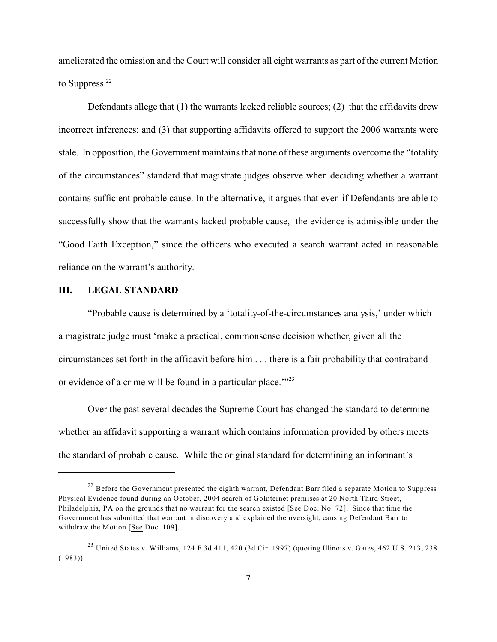ameliorated the omission and the Court will consider all eight warrants as part of the current Motion to Suppress.<sup>22</sup>

Defendants allege that (1) the warrants lacked reliable sources; (2) that the affidavits drew incorrect inferences; and (3) that supporting affidavits offered to support the 2006 warrants were stale. In opposition, the Government maintains that none of these arguments overcome the "totality of the circumstances" standard that magistrate judges observe when deciding whether a warrant contains sufficient probable cause. In the alternative, it argues that even if Defendants are able to successfully show that the warrants lacked probable cause, the evidence is admissible under the "Good Faith Exception," since the officers who executed a search warrant acted in reasonable reliance on the warrant's authority.

# **III. LEGAL STANDARD**

"Probable cause is determined by a 'totality-of-the-circumstances analysis,' under which a magistrate judge must 'make a practical, commonsense decision whether, given all the circumstances set forth in the affidavit before him . . . there is a fair probability that contraband or evidence of a crime will be found in a particular place."<sup>23</sup>

Over the past several decades the Supreme Court has changed the standard to determine whether an affidavit supporting a warrant which contains information provided by others meets the standard of probable cause. While the original standard for determining an informant's

 $^{22}$  Before the Government presented the eighth warrant, Defendant Barr filed a separate Motion to Suppress Physical Evidence found during an October, 2004 search of GoInternet premises at 20 North Third Street, Philadelphia, PA on the grounds that no warrant for the search existed [See Doc. No. 72]. Since that time the Government has submitted that warrant in discovery and explained the oversight, causing Defendant Barr to withdraw the Motion [See Doc. 109].

<sup>&</sup>lt;sup>23</sup> United States v. Williams, 124 F.3d 411, 420 (3d Cir. 1997) (quoting Illinois v. Gates, 462 U.S. 213, 238  $(1983)$ ).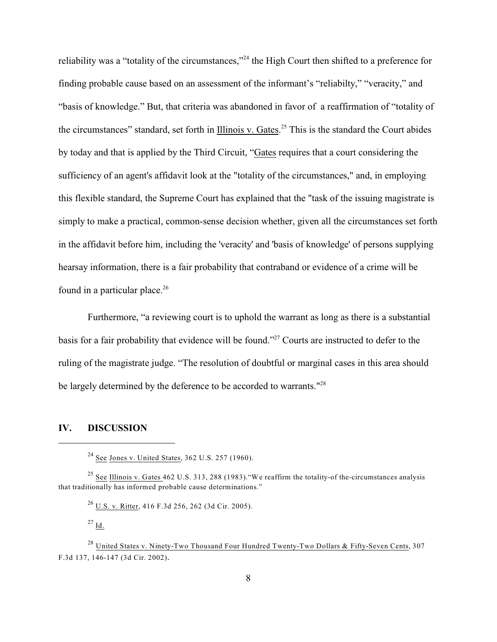reliability was a "totality of the circumstances,"<sup>24</sup> the High Court then shifted to a preference for finding probable cause based on an assessment of the informant's "reliabilty," "veracity," and "basis of knowledge." But, that criteria was abandoned in favor of a reaffirmation of "totality of the circumstances" standard, set forth in Illinois v. Gates.<sup>25</sup> This is the standard the Court abides by today and that is applied by the Third Circuit, "Gates requires that a court considering the sufficiency of an agent's affidavit look at the "totality of the circumstances," and, in employing this flexible standard, the Supreme Court has explained that the "task of the issuing magistrate is simply to make a practical, common-sense decision whether, given all the circumstances set forth in the affidavit before him, including the 'veracity' and 'basis of knowledge' of persons supplying hearsay information, there is a fair probability that contraband or evidence of a crime will be found in a particular place. $26$ 

Furthermore, "a reviewing court is to uphold the warrant as long as there is a substantial basis for a fair probability that evidence will be found."<sup>27</sup> Courts are instructed to defer to the ruling of the magistrate judge. "The resolution of doubtful or marginal cases in this area should be largely determined by the deference to be accorded to warrants."<sup>28</sup>

### **IV. DISCUSSION**

 $24$  See Jones v. United States, 362 U.S. 257 (1960).

<sup>&</sup>lt;sup>25</sup> See Illinois v. Gates 462 U.S. 313, 288 (1983). "We reaffirm the totality-of the-circumstances analysis that traditionally has informed probable cause determinations."

 $^{26}$  U.S. v. Ritter, 416 F.3d 256, 262 (3d Cir. 2005).

 $^{27}$  Id.

<sup>&</sup>lt;sup>28</sup> United States v. Ninety-Two Thousand Four Hundred Twenty-Two Dollars & Fifty-Seven Cents, 307 F.3d 137, 146-147 (3d Cir. 2002).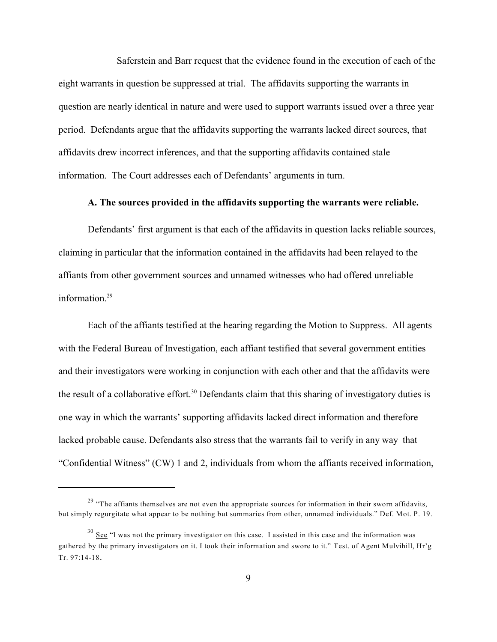Saferstein and Barr request that the evidence found in the execution of each of the eight warrants in question be suppressed at trial. The affidavits supporting the warrants in question are nearly identical in nature and were used to support warrants issued over a three year period. Defendants argue that the affidavits supporting the warrants lacked direct sources, that affidavits drew incorrect inferences, and that the supporting affidavits contained stale information. The Court addresses each of Defendants' arguments in turn.

#### **A. The sources provided in the affidavits supporting the warrants were reliable.**

Defendants' first argument is that each of the affidavits in question lacks reliable sources, claiming in particular that the information contained in the affidavits had been relayed to the affiants from other government sources and unnamed witnesses who had offered unreliable information.<sup>29</sup>

Each of the affiants testified at the hearing regarding the Motion to Suppress. All agents with the Federal Bureau of Investigation, each affiant testified that several government entities and their investigators were working in conjunction with each other and that the affidavits were the result of a collaborative effort.<sup>30</sup> Defendants claim that this sharing of investigatory duties is one way in which the warrants' supporting affidavits lacked direct information and therefore lacked probable cause. Defendants also stress that the warrants fail to verify in any way that "Confidential Witness" (CW) 1 and 2, individuals from whom the affiants received information,

 $29$  "The affiants themselves are not even the appropriate sources for information in their sworn affidavits, but simply regurgitate what appear to be nothing but summaries from other, unnamed individuals." Def. Mot. P. 19.

 $30$  See "I was not the primary investigator on this case. I assisted in this case and the information was gathered by the primary investigators on it. I took their information and swore to it." Test. of Agent Mulvihill, Hr'g Tr. 97:14-18.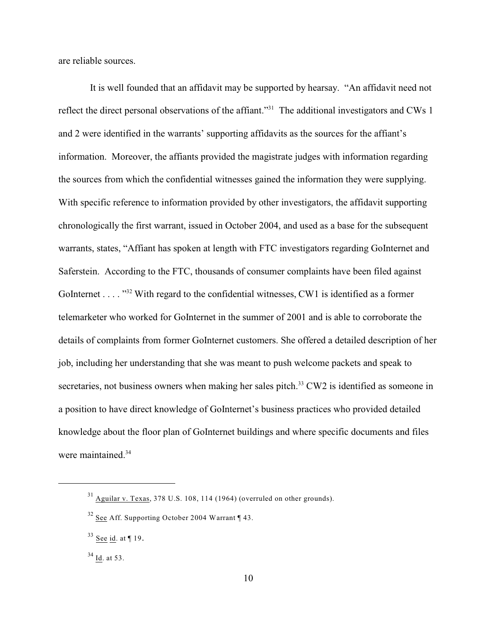are reliable sources.

 It is well founded that an affidavit may be supported by hearsay. "An affidavit need not reflect the direct personal observations of the affiant."<sup>31</sup> The additional investigators and CWs 1 and 2 were identified in the warrants' supporting affidavits as the sources for the affiant's information. Moreover, the affiants provided the magistrate judges with information regarding the sources from which the confidential witnesses gained the information they were supplying. With specific reference to information provided by other investigators, the affidavit supporting chronologically the first warrant, issued in October 2004, and used as a base for the subsequent warrants, states, "Affiant has spoken at length with FTC investigators regarding GoInternet and Saferstein. According to the FTC, thousands of consumer complaints have been filed against GoInternet . . . . "<sup>32</sup> With regard to the confidential witnesses, CW1 is identified as a former telemarketer who worked for GoInternet in the summer of 2001 and is able to corroborate the details of complaints from former GoInternet customers. She offered a detailed description of her job, including her understanding that she was meant to push welcome packets and speak to secretaries, not business owners when making her sales pitch.<sup>33</sup> CW2 is identified as someone in a position to have direct knowledge of GoInternet's business practices who provided detailed knowledge about the floor plan of GoInternet buildings and where specific documents and files were maintained.<sup>34</sup>

 $31$  Aguilar v. Texas, 378 U.S. 108, 114 (1964) (overruled on other grounds).

 $32$  See Aff. Supporting October 2004 Warrant ¶ 43.

 $33$  See id. at ¶ 19.

 $34$  Id. at 53.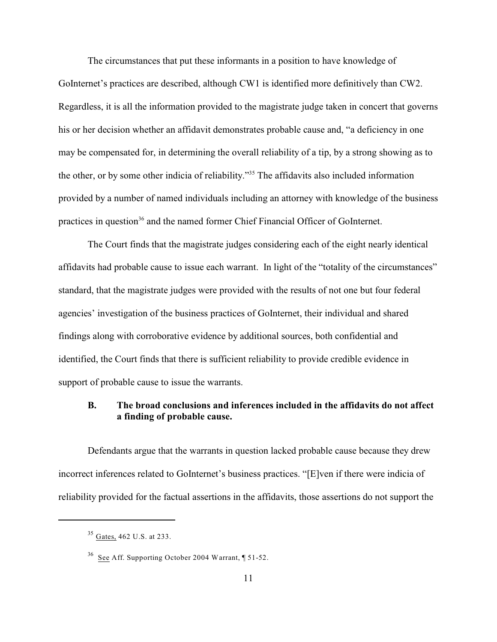The circumstances that put these informants in a position to have knowledge of GoInternet's practices are described, although CW1 is identified more definitively than CW2. Regardless, it is all the information provided to the magistrate judge taken in concert that governs his or her decision whether an affidavit demonstrates probable cause and, "a deficiency in one may be compensated for, in determining the overall reliability of a tip, by a strong showing as to the other, or by some other indicia of reliability."<sup>35</sup> The affidavits also included information provided by a number of named individuals including an attorney with knowledge of the business practices in question<sup>36</sup> and the named former Chief Financial Officer of GoInternet.

The Court finds that the magistrate judges considering each of the eight nearly identical affidavits had probable cause to issue each warrant. In light of the "totality of the circumstances" standard, that the magistrate judges were provided with the results of not one but four federal agencies' investigation of the business practices of GoInternet, their individual and shared findings along with corroborative evidence by additional sources, both confidential and identified, the Court finds that there is sufficient reliability to provide credible evidence in support of probable cause to issue the warrants.

# **B. The broad conclusions and inferences included in the affidavits do not affect a finding of probable cause.**

Defendants argue that the warrants in question lacked probable cause because they drew incorrect inferences related to GoInternet's business practices. "[E]ven if there were indicia of reliability provided for the factual assertions in the affidavits, those assertions do not support the

 $35$  Gates, 462 U.S. at 233.

 $36$  See Aff. Supporting October 2004 Warrant, ¶ 51-52.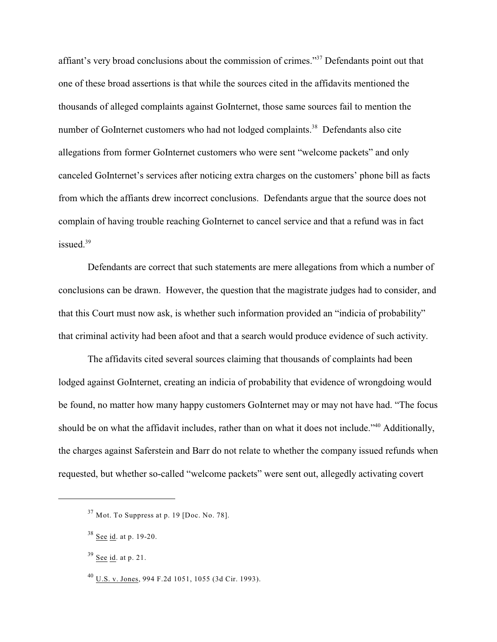affiant's very broad conclusions about the commission of crimes."<sup>37</sup> Defendants point out that one of these broad assertions is that while the sources cited in the affidavits mentioned the thousands of alleged complaints against GoInternet, those same sources fail to mention the number of GoInternet customers who had not lodged complaints.<sup>38</sup> Defendants also cite allegations from former GoInternet customers who were sent "welcome packets" and only canceled GoInternet's services after noticing extra charges on the customers' phone bill as facts from which the affiants drew incorrect conclusions. Defendants argue that the source does not complain of having trouble reaching GoInternet to cancel service and that a refund was in fact issued.<sup>39</sup>

Defendants are correct that such statements are mere allegations from which a number of conclusions can be drawn. However, the question that the magistrate judges had to consider, and that this Court must now ask, is whether such information provided an "indicia of probability" that criminal activity had been afoot and that a search would produce evidence of such activity.

The affidavits cited several sources claiming that thousands of complaints had been lodged against GoInternet, creating an indicia of probability that evidence of wrongdoing would be found, no matter how many happy customers GoInternet may or may not have had. "The focus should be on what the affidavit includes, rather than on what it does not include."<sup>40</sup> Additionally, the charges against Saferstein and Barr do not relate to whether the company issued refunds when requested, but whether so-called "welcome packets" were sent out, allegedly activating covert

 $37$  Mot. To Suppress at p. 19 [Doc. No. 78].

 $38$  See id. at p. 19-20.

 $39$  See id. at p. 21.

 $^{40}$  U.S. v. Jones, 994 F.2d 1051, 1055 (3d Cir. 1993).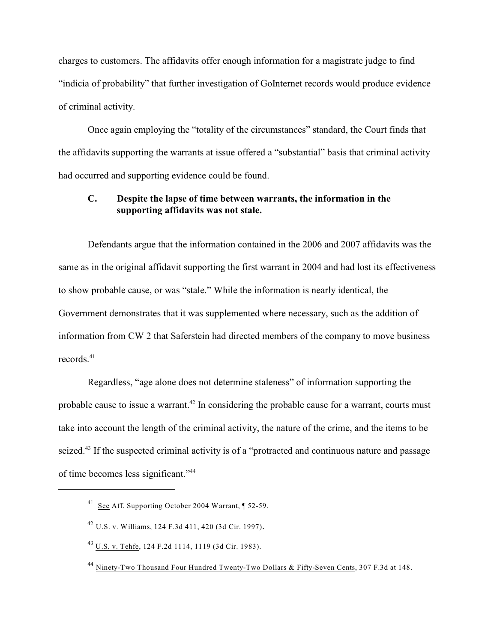charges to customers. The affidavits offer enough information for a magistrate judge to find "indicia of probability" that further investigation of GoInternet records would produce evidence of criminal activity.

Once again employing the "totality of the circumstances" standard, the Court finds that the affidavits supporting the warrants at issue offered a "substantial" basis that criminal activity had occurred and supporting evidence could be found.

# **C. Despite the lapse of time between warrants, the information in the supporting affidavits was not stale.**

Defendants argue that the information contained in the 2006 and 2007 affidavits was the same as in the original affidavit supporting the first warrant in 2004 and had lost its effectiveness to show probable cause, or was "stale." While the information is nearly identical, the Government demonstrates that it was supplemented where necessary, such as the addition of information from CW 2 that Saferstein had directed members of the company to move business records. 41

Regardless, "age alone does not determine staleness" of information supporting the probable cause to issue a warrant.<sup> $42$ </sup> In considering the probable cause for a warrant, courts must take into account the length of the criminal activity, the nature of the crime, and the items to be seized.<sup>43</sup> If the suspected criminal activity is of a "protracted and continuous nature and passage of time becomes less significant."44

 $^{41}$  See Aff. Supporting October 2004 Warrant, ¶ 52-59.

<sup>&</sup>lt;sup>42</sup> U.S. v. Williams, 124 F.3d 411, 420 (3d Cir. 1997).

U.S. v. Tehfe, 124 F.2d 1114, 1119 (3d Cir. 1983). <sup>43</sup>

<sup>&</sup>lt;sup>44</sup> Ninety-Two Thousand Four Hundred Twenty-Two Dollars & Fifty-Seven Cents, 307 F.3d at 148.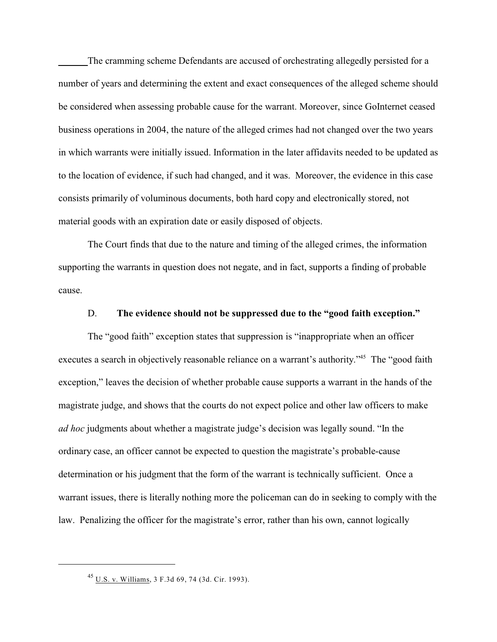The cramming scheme Defendants are accused of orchestrating allegedly persisted for a number of years and determining the extent and exact consequences of the alleged scheme should be considered when assessing probable cause for the warrant. Moreover, since GoInternet ceased business operations in 2004, the nature of the alleged crimes had not changed over the two years in which warrants were initially issued. Information in the later affidavits needed to be updated as to the location of evidence, if such had changed, and it was. Moreover, the evidence in this case consists primarily of voluminous documents, both hard copy and electronically stored, not material goods with an expiration date or easily disposed of objects.

The Court finds that due to the nature and timing of the alleged crimes, the information supporting the warrants in question does not negate, and in fact, supports a finding of probable cause.

#### D. **The evidence should not be suppressed due to the "good faith exception."**

The "good faith" exception states that suppression is "inappropriate when an officer executes a search in objectively reasonable reliance on a warrant's authority."<sup>45</sup> The "good faith exception," leaves the decision of whether probable cause supports a warrant in the hands of the magistrate judge, and shows that the courts do not expect police and other law officers to make *ad hoc* judgments about whether a magistrate judge's decision was legally sound. "In the ordinary case, an officer cannot be expected to question the magistrate's probable-cause determination or his judgment that the form of the warrant is technically sufficient. Once a warrant issues, there is literally nothing more the policeman can do in seeking to comply with the law. Penalizing the officer for the magistrate's error, rather than his own, cannot logically

U.S. v. Williams, 3 F.3d 69, 74 (3d. Cir. 1993). <sup>45</sup>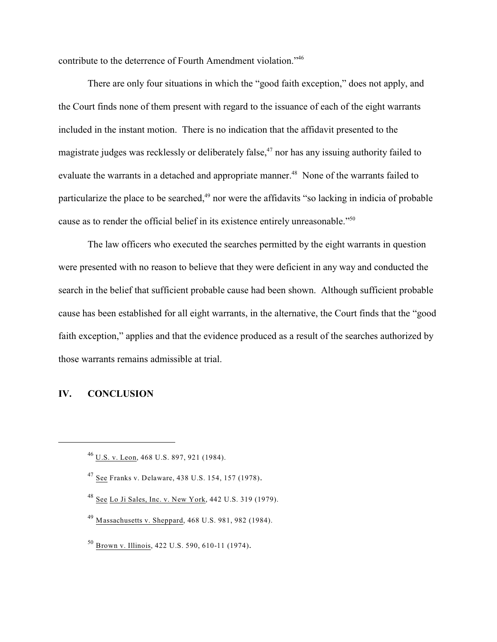contribute to the deterrence of Fourth Amendment violation."<sup>46</sup>

There are only four situations in which the "good faith exception," does not apply, and the Court finds none of them present with regard to the issuance of each of the eight warrants included in the instant motion. There is no indication that the affidavit presented to the magistrate judges was recklessly or deliberately false,  $47$  nor has any issuing authority failed to evaluate the warrants in a detached and appropriate manner.<sup>48</sup> None of the warrants failed to particularize the place to be searched,<sup>49</sup> nor were the affidavits "so lacking in indicia of probable cause as to render the official belief in its existence entirely unreasonable."<sup>50</sup>

The law officers who executed the searches permitted by the eight warrants in question were presented with no reason to believe that they were deficient in any way and conducted the search in the belief that sufficient probable cause had been shown. Although sufficient probable cause has been established for all eight warrants, in the alternative, the Court finds that the "good faith exception," applies and that the evidence produced as a result of the searches authorized by those warrants remains admissible at trial.

# **IV. CONCLUSION**

- $48$  See Lo Ji Sales, Inc. v. New York, 442 U.S. 319 (1979).
- $^{49}$  Massachusetts v. Sheppard, 468 U.S. 981, 982 (1984).
- <sup>50</sup> Brown v. Illinois, 422 U.S. 590, 610-11 (1974).

 $^{46}$  U.S. v. Leon, 468 U.S. 897, 921 (1984).

<sup>&</sup>lt;sup>47</sup> See Franks v. Delaware, 438 U.S. 154, 157 (1978).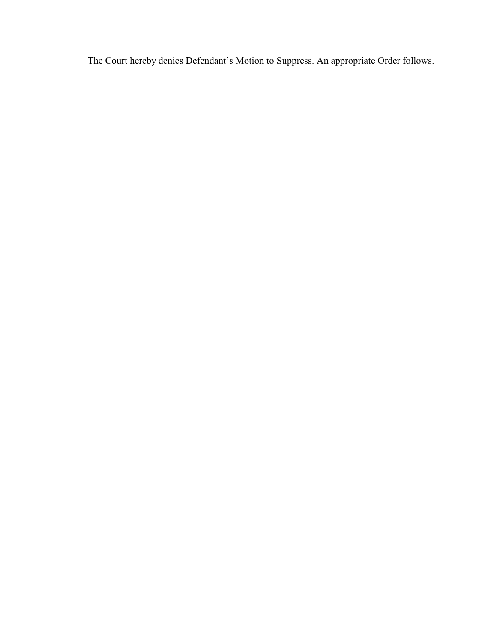The Court hereby denies Defendant's Motion to Suppress. An appropriate Order follows.